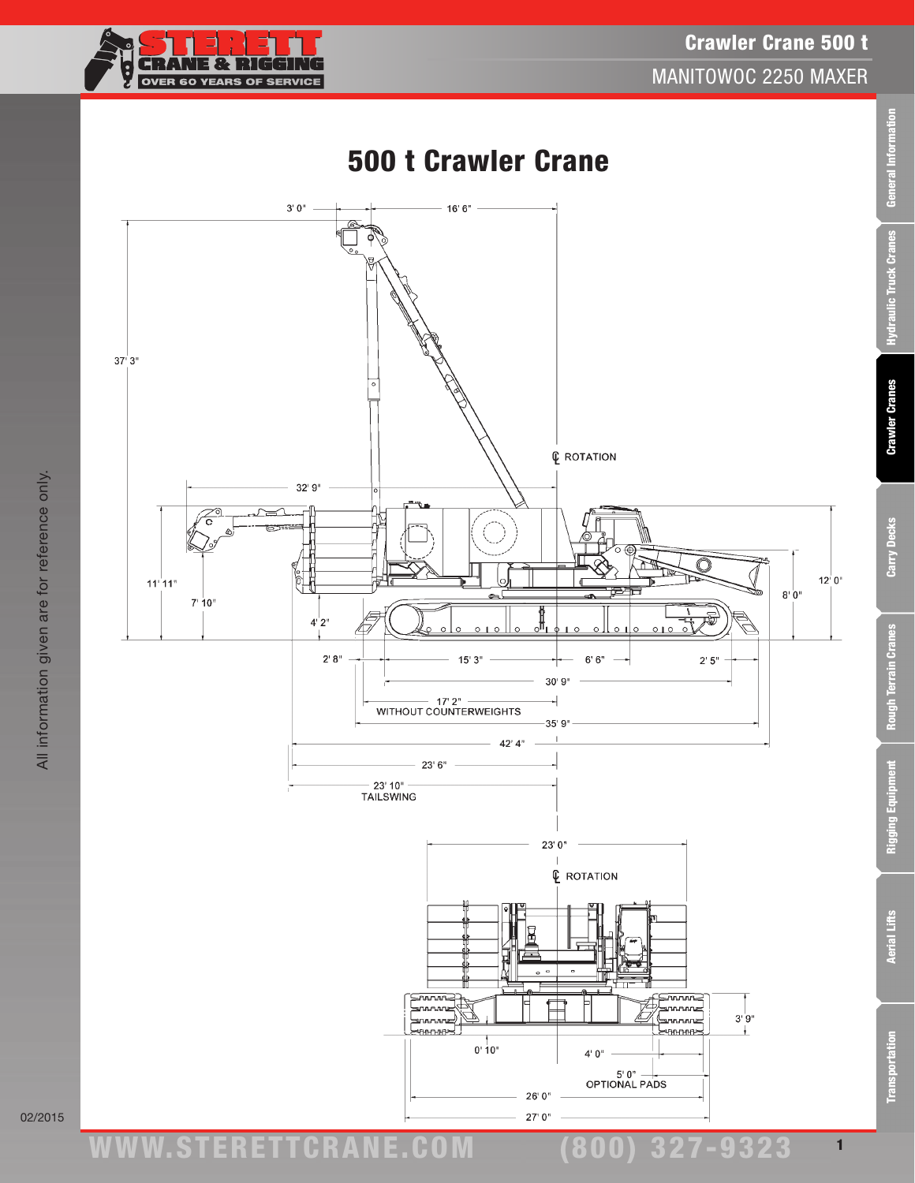

Crawler Crane 500 t MANITOWOC 2250 MAXER

Transportation Aerial Lifts Rigging Equipment Rough Terrain Cranes Carry Decks Crawler Cranes Hydraulic Truck Cranes General Information

**Rough Terrain Cranes** 

Rigging Equipment

**Nerial Lifts** 

**Transportation** 

Carry Decks

General Information

Hydraulic Truck Cranes

**Crawler Cranes** 



02/2015

www.STERETTCRAnE.Com

(800) 327-9323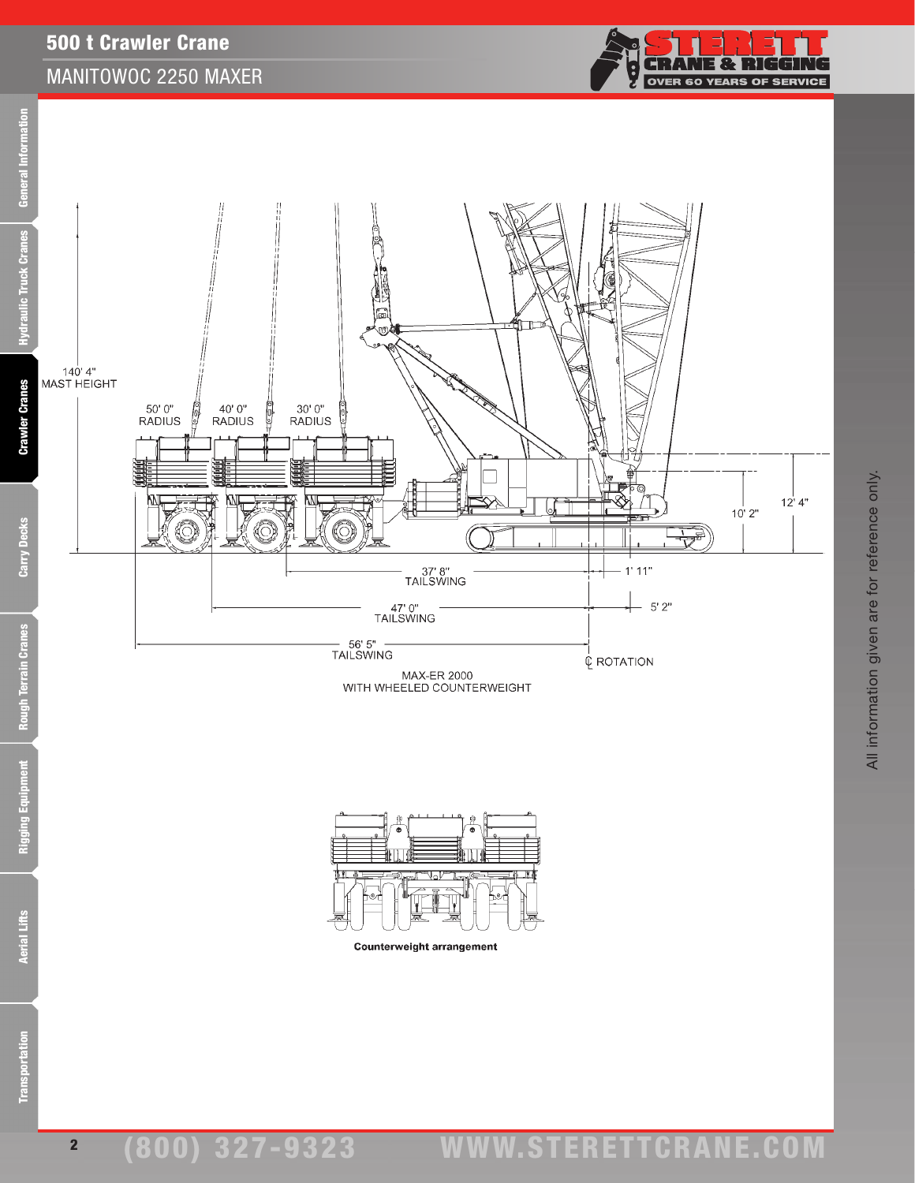## 500 t Crawler Crane MANITOWOC 2250 MAXER







**Counterweight arrangement** 

Rigging Equipment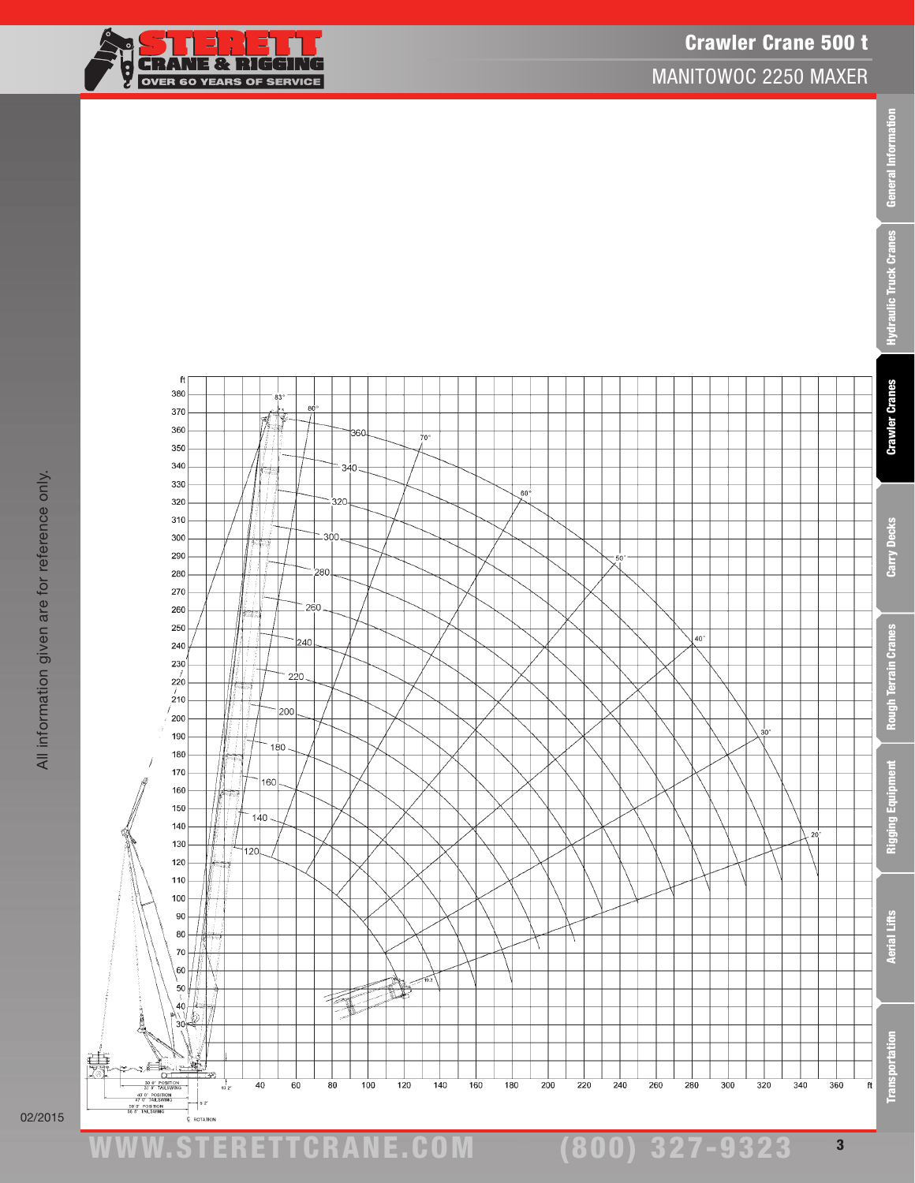







 $\mathsf{ft}$ 

 $83$ 

8

380

370

9323

3

慧

ww.TDKv.com

ERETTCRANE.CO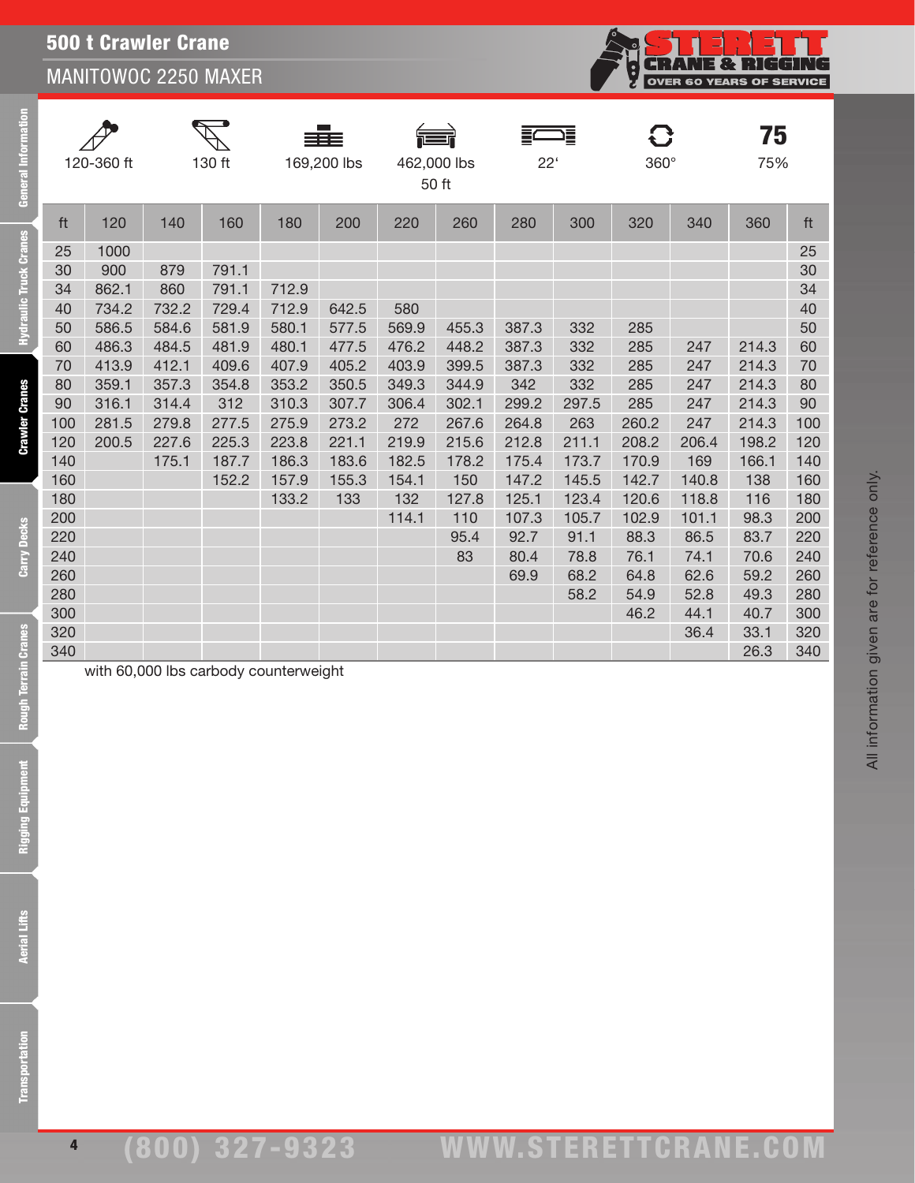## 500 t Crawler Crane MANITOWOC 2250 MAXER

| 120-360 ft |       | 130 ft                                |       | 169,200 lbs |       | 言<br>462,000 lbs<br>50 ft |       | 這<br>$22^{\circ}$ |       | C<br>$360^\circ$ |       | 75<br>75% |     |
|------------|-------|---------------------------------------|-------|-------------|-------|---------------------------|-------|-------------------|-------|------------------|-------|-----------|-----|
| ft         | 120   | 140                                   | 160   | 180         | 200   | 220                       | 260   | 280               | 300   | 320              | 340   | 360       | ft  |
| 25         | 1000  |                                       |       |             |       |                           |       |                   |       |                  |       |           | 25  |
| 30         | 900   | 879                                   | 791.1 |             |       |                           |       |                   |       |                  |       |           | 30  |
| 34         | 862.1 | 860                                   | 791.1 | 712.9       |       |                           |       |                   |       |                  |       |           | 34  |
| 40         | 734.2 | 732.2                                 | 729.4 | 712.9       | 642.5 | 580                       |       |                   |       |                  |       |           | 40  |
| 50         | 586.5 | 584.6                                 | 581.9 | 580.1       | 577.5 | 569.9                     | 455.3 | 387.3             | 332   | 285              |       |           | 50  |
| 60         | 486.3 | 484.5                                 | 481.9 | 480.1       | 477.5 | 476.2                     | 448.2 | 387.3             | 332   | 285              | 247   | 214.3     | 60  |
| 70         | 413.9 | 412.1                                 | 409.6 | 407.9       | 405.2 | 403.9                     | 399.5 | 387.3             | 332   | 285              | 247   | 214.3     | 70  |
| 80         | 359.1 | 357.3                                 | 354.8 | 353.2       | 350.5 | 349.3                     | 344.9 | 342               | 332   | 285              | 247   | 214.3     | 80  |
| 90         | 316.1 | 314.4                                 | 312   | 310.3       | 307.7 | 306.4                     | 302.1 | 299.2             | 297.5 | 285              | 247   | 214.3     | 90  |
| 100        | 281.5 | 279.8                                 | 277.5 | 275.9       | 273.2 | 272                       | 267.6 | 264.8             | 263   | 260.2            | 247   | 214.3     | 100 |
| 120        | 200.5 | 227.6                                 | 225.3 | 223.8       | 221.1 | 219.9                     | 215.6 | 212.8             | 211.1 | 208.2            | 206.4 | 198.2     | 120 |
| 140        |       | 175.1                                 | 187.7 | 186.3       | 183.6 | 182.5                     | 178.2 | 175.4             | 173.7 | 170.9            | 169   | 166.1     | 140 |
| 160        |       |                                       | 152.2 | 157.9       | 155.3 | 154.1                     | 150   | 147.2             | 145.5 | 142.7            | 140.8 | 138       | 160 |
| 180        |       |                                       |       | 133.2       | 133   | 132                       | 127.8 | 125.1             | 123.4 | 120.6            | 118.8 | 116       | 180 |
| 200        |       |                                       |       |             |       | 114.1                     | 110   | 107.3             | 105.7 | 102.9            | 101.1 | 98.3      | 200 |
| 220        |       |                                       |       |             |       |                           | 95.4  | 92.7              | 91.1  | 88.3             | 86.5  | 83.7      | 220 |
| 240        |       |                                       |       |             |       |                           | 83    | 80.4              | 78.8  | 76.1             | 74.1  | 70.6      | 240 |
| 260        |       |                                       |       |             |       |                           |       | 69.9              | 68.2  | 64.8             | 62.6  | 59.2      | 260 |
| 280        |       |                                       |       |             |       |                           |       |                   | 58.2  | 54.9             | 52.8  | 49.3      | 280 |
| 300        |       |                                       |       |             |       |                           |       |                   |       | 46.2             | 44.1  | 40.7      | 300 |
| 320        |       |                                       |       |             |       |                           |       |                   |       |                  | 36.4  | 33.1      | 320 |
| 340        |       |                                       |       |             |       |                           |       |                   |       |                  |       | 26.3      | 340 |
|            |       | with 60,000 lbs carbody counterweight |       |             |       |                           |       |                   |       |                  |       |           |     |

Carry

E

Ŀ

**Crawler Cranes**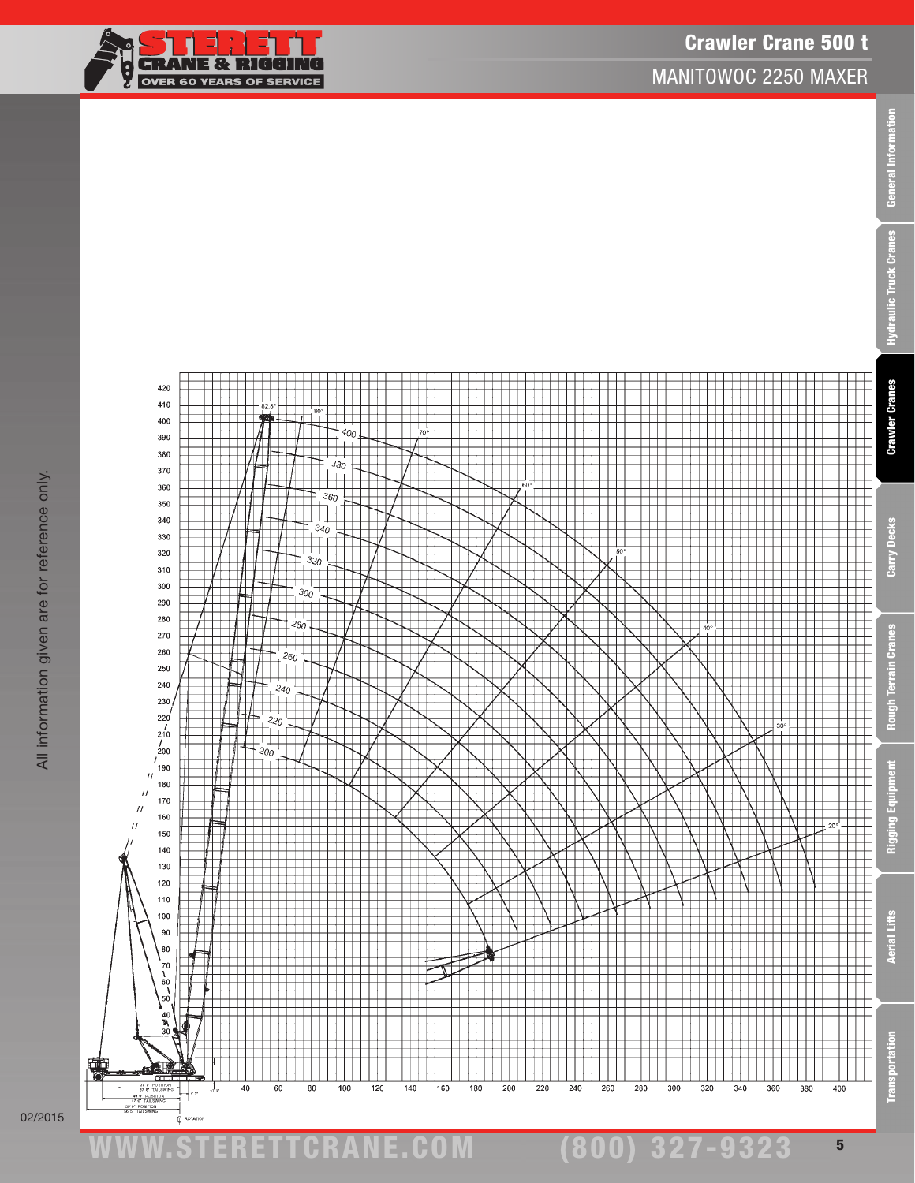

ww.TDKv.com

50' 0" POSITIO

30 0" POSITION<br>37 8" TAILSWING<br>47 0" TAILSWING

 $\frac{1}{2}$   $\frac{1}{2}$  $J_{\alpha}$ 

 $\dot{\mathbb{C}}$  ROTATIO

曍

www.STERETTCRAnE.Com

60

80

100

120

140

160

180

200

220

240

260

280

40





420  $410$ 

 $400$ 

່∘່



(800) 327-9323

300

320

340

360

380

General Information

5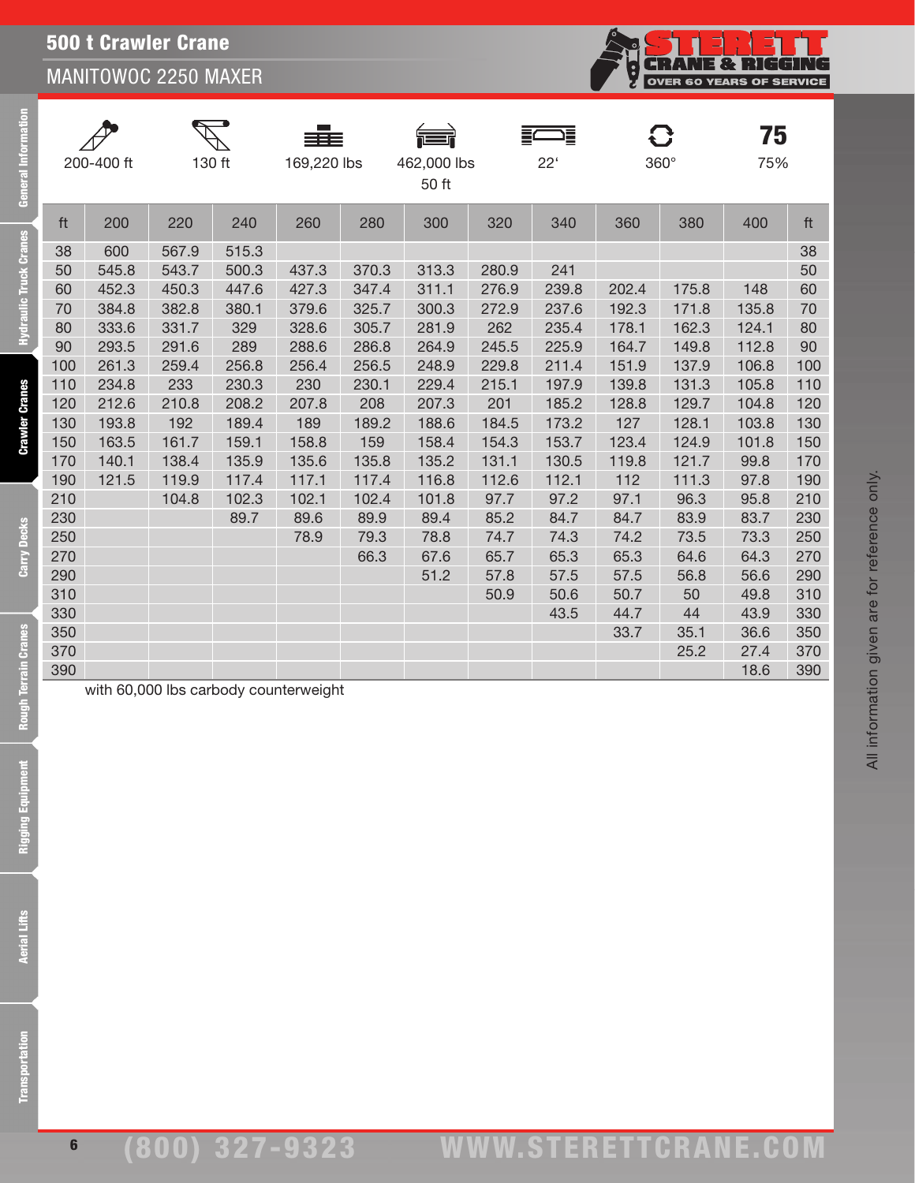## 500 t Crawler Crane MANITOWOC 2250 MAXER

|     | 200-400 ft | 130 ft |       | 169,220 lbs |       | 462,000 lbs<br>50 ft |       | €<br>$22^{\circ}$ |       | 8<br>360° | 75<br>75% |     |
|-----|------------|--------|-------|-------------|-------|----------------------|-------|-------------------|-------|-----------|-----------|-----|
| ft  | 200        | 220    | 240   | 260         | 280   | 300                  | 320   | 340               | 360   | 380       | 400       | ft  |
| 38  | 600        | 567.9  | 515.3 |             |       |                      |       |                   |       |           |           | 38  |
| 50  | 545.8      | 543.7  | 500.3 | 437.3       | 370.3 | 313.3                | 280.9 | 241               |       |           |           | 50  |
| 60  | 452.3      | 450.3  | 447.6 | 427.3       | 347.4 | 311.1                | 276.9 | 239.8             | 202.4 | 175.8     | 148       | 60  |
| 70  | 384.8      | 382.8  | 380.1 | 379.6       | 325.7 | 300.3                | 272.9 | 237.6             | 192.3 | 171.8     | 135.8     | 70  |
| 80  | 333.6      | 331.7  | 329   | 328.6       | 305.7 | 281.9                | 262   | 235.4             | 178.1 | 162.3     | 124.1     | 80  |
| 90  | 293.5      | 291.6  | 289   | 288.6       | 286.8 | 264.9                | 245.5 | 225.9             | 164.7 | 149.8     | 112.8     | 90  |
| 100 | 261.3      | 259.4  | 256.8 | 256.4       | 256.5 | 248.9                | 229.8 | 211.4             | 151.9 | 137.9     | 106.8     | 100 |
| 110 | 234.8      | 233    | 230.3 | 230         | 230.1 | 229.4                | 215.1 | 197.9             | 139.8 | 131.3     | 105.8     | 110 |
| 120 | 212.6      | 210.8  | 208.2 | 207.8       | 208   | 207.3                | 201   | 185.2             | 128.8 | 129.7     | 104.8     | 120 |
| 130 | 193.8      | 192    | 189.4 | 189         | 189.2 | 188.6                | 184.5 | 173.2             | 127   | 128.1     | 103.8     | 130 |
| 150 | 163.5      | 161.7  | 159.1 | 158.8       | 159   | 158.4                | 154.3 | 153.7             | 123.4 | 124.9     | 101.8     | 150 |
| 170 | 140.1      | 138.4  | 135.9 | 135.6       | 135.8 | 135.2                | 131.1 | 130.5             | 119.8 | 121.7     | 99.8      | 170 |
| 190 | 121.5      | 119.9  | 117.4 | 117.1       | 117.4 | 116.8                | 112.6 | 112.1             | 112   | 111.3     | 97.8      | 190 |
| 210 |            | 104.8  | 102.3 | 102.1       | 102.4 | 101.8                | 97.7  | 97.2              | 97.1  | 96.3      | 95.8      | 210 |
| 230 |            |        | 89.7  | 89.6        | 89.9  | 89.4                 | 85.2  | 84.7              | 84.7  | 83.9      | 83.7      | 230 |
| 250 |            |        |       | 78.9        | 79.3  | 78.8                 | 74.7  | 74.3              | 74.2  | 73.5      | 73.3      | 250 |
| 270 |            |        |       |             | 66.3  | 67.6                 | 65.7  | 65.3              | 65.3  | 64.6      | 64.3      | 270 |
| 290 |            |        |       |             |       | 51.2                 | 57.8  | 57.5              | 57.5  | 56.8      | 56.6      | 290 |
| 310 |            |        |       |             |       |                      | 50.9  | 50.6              | 50.7  | 50        | 49.8      | 310 |
| 330 |            |        |       |             |       |                      |       | 43.5              | 44.7  | 44        | 43.9      | 330 |
| 350 |            |        |       |             |       |                      |       |                   | 33.7  | 35.1      | 36.6      | 350 |
| 370 |            |        |       |             |       |                      |       |                   |       | 25.2      | 27.4      | 370 |
| 390 |            |        |       |             |       |                      |       |                   |       |           | 18.6      | 390 |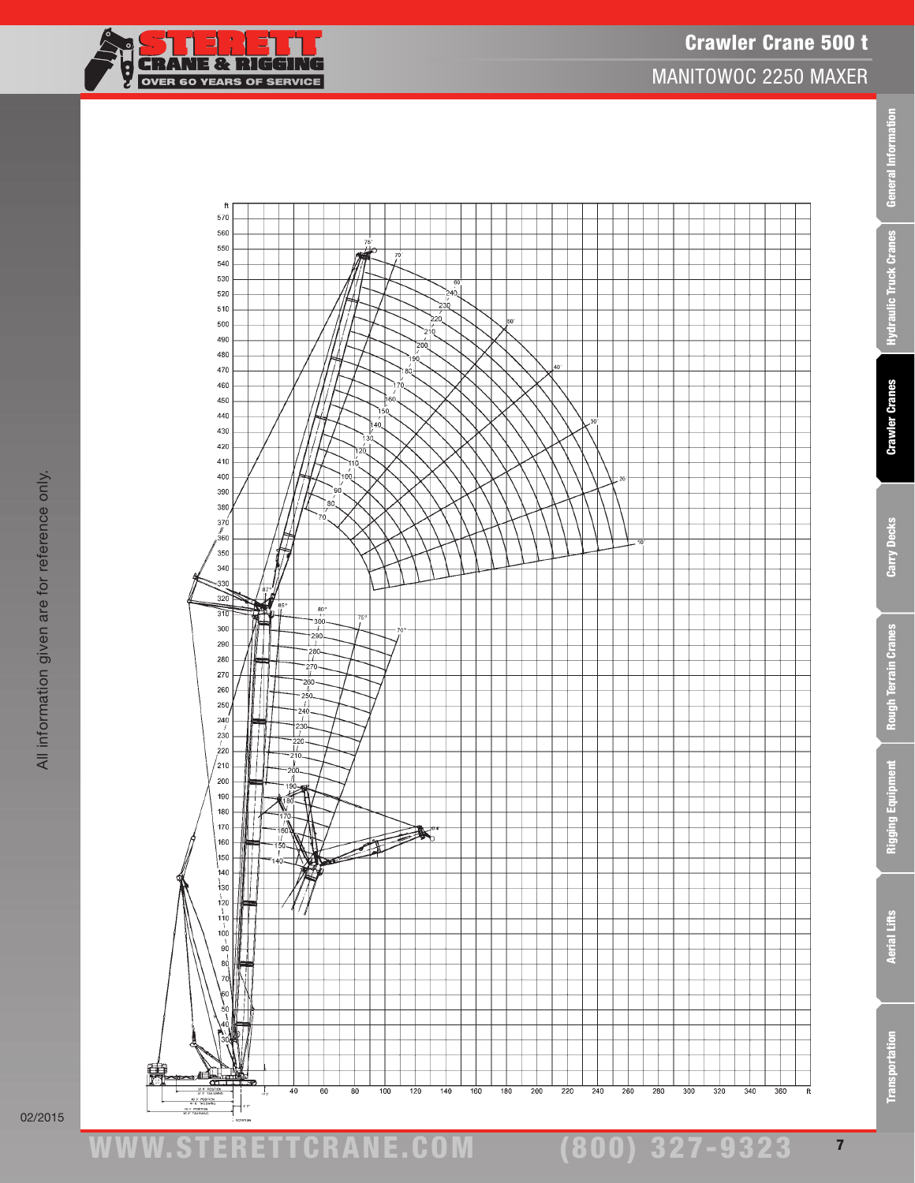

02/2015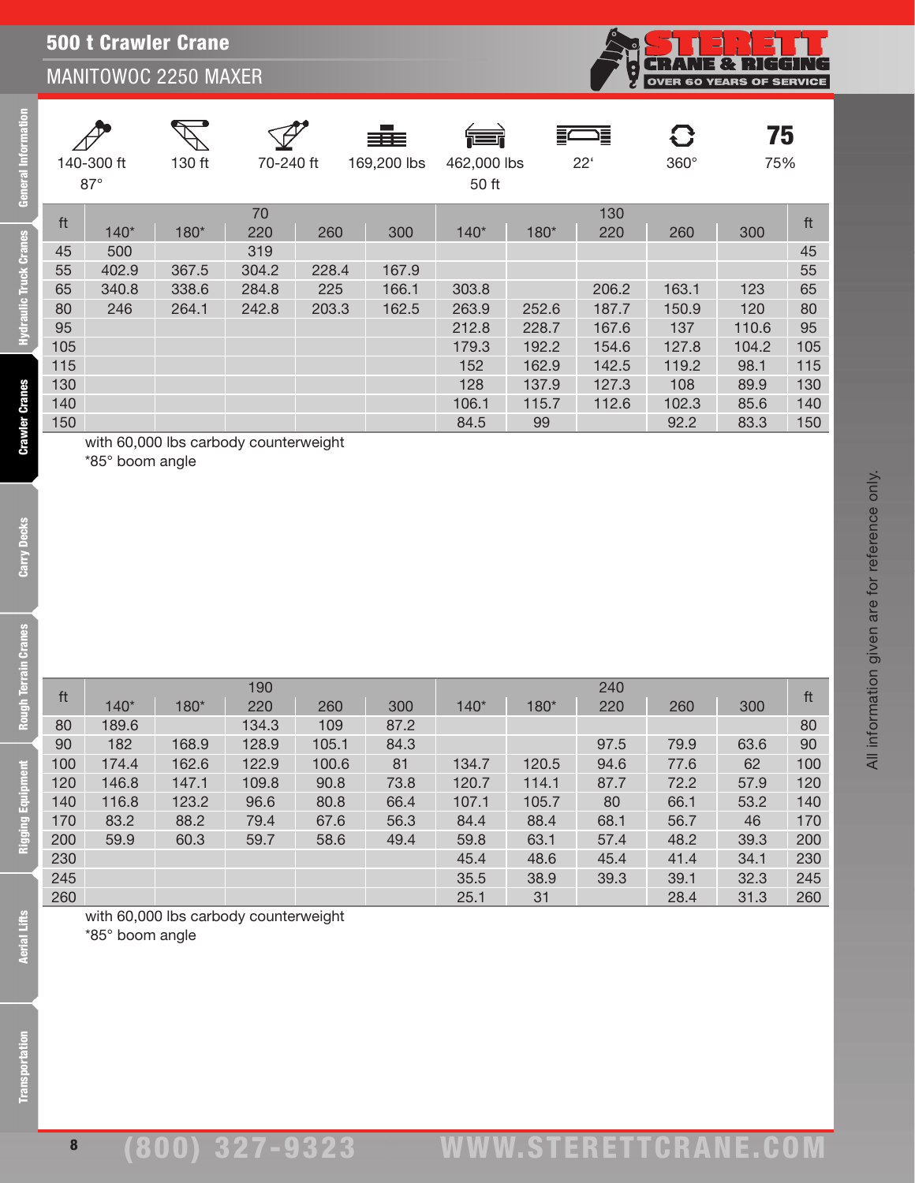

All information given are for reference only.

All information given are for reference only.

| 140-300 ft<br>$87^\circ$ |        | 130 ft | 70-240 ft |       | ≡≡≡<br>169,200 lbs | 运工<br>462,000 lbs<br>50 ft |       | 這<br>$22^{\circ}$ |       | 75<br>75% |     |
|--------------------------|--------|--------|-----------|-------|--------------------|----------------------------|-------|-------------------|-------|-----------|-----|
| ft                       | $140*$ | 180*   | 70<br>220 | 260   | 300                | $140*$                     | 180*  | 130<br>220        | 260   | 300       | ft  |
| 45                       | 500    |        | 319       |       |                    |                            |       |                   |       |           | 45  |
| 55                       | 402.9  | 367.5  | 304.2     | 228.4 | 167.9              |                            |       |                   |       |           | 55  |
| 65                       | 340.8  | 338.6  | 284.8     | 225   | 166.1              | 303.8                      |       | 206.2             | 163.1 | 123       | 65  |
| 80                       | 246    | 264.1  | 242.8     | 203.3 | 162.5              | 263.9                      | 252.6 | 187.7             | 150.9 | 120       | 80  |
| 95                       |        |        |           |       |                    | 212.8                      | 228.7 | 167.6             | 137   | 110.6     | 95  |
| 105                      |        |        |           |       |                    | 179.3                      | 192.2 | 154.6             | 127.8 | 104.2     | 105 |
| 115                      |        |        |           |       |                    | 152                        | 162.9 | 142.5             | 119.2 | 98.1      | 115 |
| 130                      |        |        |           |       |                    | 128                        | 137.9 | 127.3             | 108   | 89.9      | 130 |
| 140                      |        |        |           |       |                    | 106.1                      | 115.7 | 112.6             | 102.3 | 85.6      | 140 |
| 150                      |        |        |           |       |                    | 84.5                       | 99    |                   | 92.2  | 83.3      | 150 |

ft <sup>190</sup> <sup>240</sup> ft 140\* 180\* <sup>220</sup> <sup>260</sup> <sup>300</sup> 140\* 180\* <sup>220</sup> <sup>260</sup> <sup>300</sup> 80 189.6 134.3 109 87.2 80 189.6 139.6 134.3 109 87.2 80 182 168.9 128.9 105.1 84.3 97.5 79.9 63.6 90 174.4 162.6 122.9 100.6 81 134.7 120.5 94.6 77.6 62 100 146.8 147.1 109.8 90.8 73.8 120.7 114.1 87.7 72.2 57.9 120 116.8 123.2 96.6 80.8 66.4 107.1 105.7 80 66.1 53.2 140 83.2 88.2 79.4 67.6 56.3 84.4 88.4 68.1 56.7 46 170 59.9 60.3 59.7 58.6 49.4 59.8 63.1 57.4 48.2 39.3 200 45.4 48.6 45.4 41.4 34.1 230 35.5 38.9 39.3 39.1 32.3 245 25.1 31 28.4 31.3 260

with 60,000 lbs carbody counterweight \*85° boom angle

**Rough Terrain Cranes** 

eral Information

draulic Truck Cranes

**Crawler Cranes** 

Carry Decks

8

with 60,000 lbs carbody counterweight

\*85° boom angle

## (800) 327-9323 www.STERETTCRAnE.Com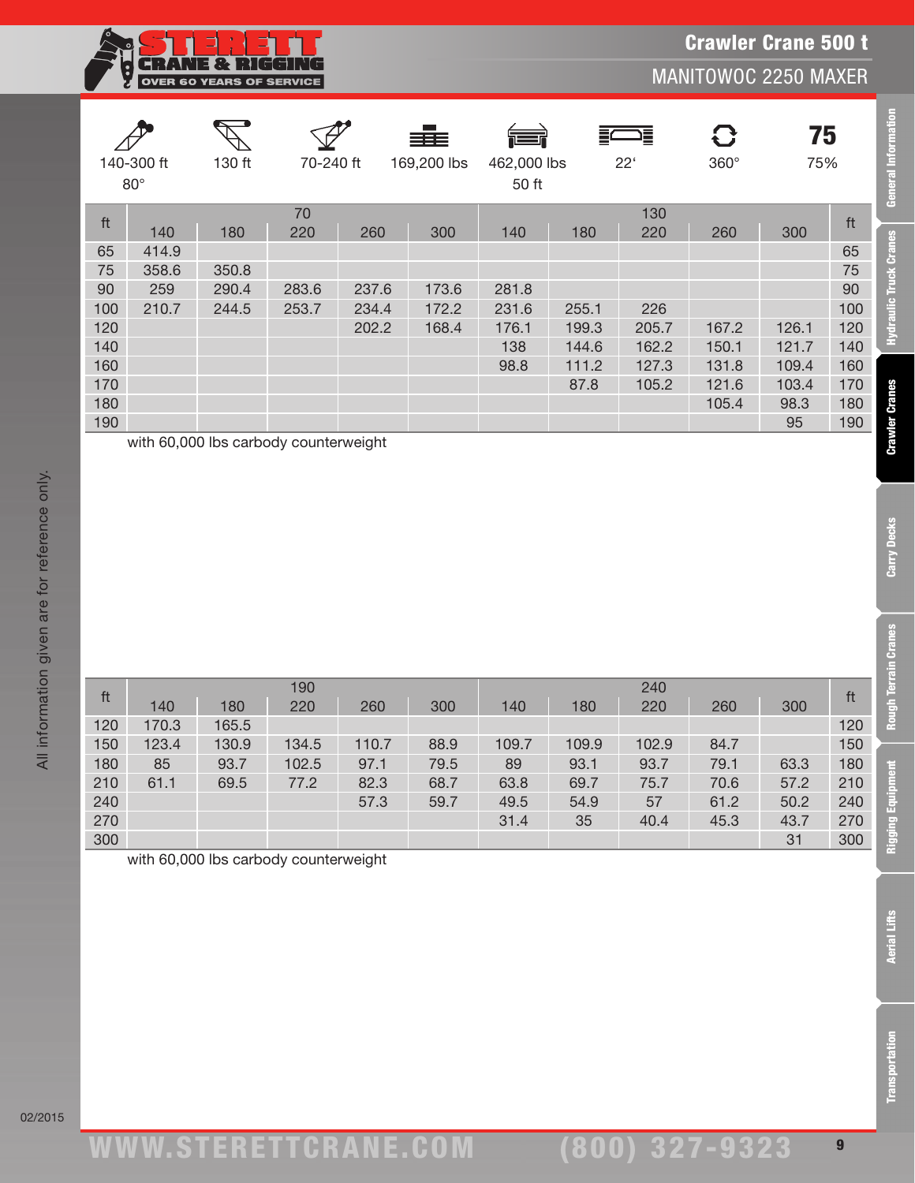|                          | ः । । न न । । । न<br>57 S N N 1 2 3 4<br>Н<br>$\left  \rule{0pt}{10pt}\right.$<br><b>MANITOWOC 2250 MAXER</b><br><b>OVER 60 YEARS OF SERVICE</b> |        |           |       |                                            |       |       |              |                  |           |     |  |  |  |  |
|--------------------------|--------------------------------------------------------------------------------------------------------------------------------------------------|--------|-----------|-------|--------------------------------------------|-------|-------|--------------|------------------|-----------|-----|--|--|--|--|
| 140-300 ft<br>$80^\circ$ |                                                                                                                                                  | 130 ft | 70-240 ft |       | ≣≡≡<br>169,200 lbs<br>462,000 lbs<br>50 ft |       |       | $22^{\circ}$ | 8<br>$360^\circ$ | 75<br>75% |     |  |  |  |  |
| ft                       |                                                                                                                                                  |        | 70        |       |                                            |       |       | 130          |                  |           | ft  |  |  |  |  |
|                          | 140                                                                                                                                              | 180    | 220       | 260   | 300                                        | 140   | 180   | 220          | 260              | 300       |     |  |  |  |  |
| 65                       | 414.9                                                                                                                                            |        |           |       |                                            |       |       |              |                  |           | 65  |  |  |  |  |
| 75                       | 358.6                                                                                                                                            | 350.8  |           |       |                                            |       |       |              |                  |           | 75  |  |  |  |  |
| 90                       | 259                                                                                                                                              | 290.4  | 283.6     | 237.6 | 173.6                                      | 281.8 |       |              |                  |           | 90  |  |  |  |  |
| 100                      | 210.7                                                                                                                                            | 244.5  | 253.7     | 234.4 | 172.2                                      | 231.6 | 255.1 | 226          |                  |           | 100 |  |  |  |  |
| 120                      |                                                                                                                                                  |        |           | 202.2 | 168.4                                      | 176.1 | 199.3 | 205.7        | 167.2            | 126.1     | 120 |  |  |  |  |
| 140                      |                                                                                                                                                  |        |           |       |                                            | 138   | 144.6 | 162.2        | 150.1            | 121.7     | 140 |  |  |  |  |
| 160                      |                                                                                                                                                  |        |           |       |                                            | 98.8  | 111.2 | 127.3        | 131.8            | 109.4     | 160 |  |  |  |  |
| 170                      |                                                                                                                                                  |        |           |       |                                            |       | 87.8  | 105.2        | 121.6            | 103.4     | 170 |  |  |  |  |
| 180                      |                                                                                                                                                  |        |           |       |                                            |       |       |              | 105.4            | 98.3      | 180 |  |  |  |  |
| 190                      |                                                                                                                                                  |        |           |       |                                            |       |       |              |                  | 95        | 190 |  |  |  |  |

with 60,000 lbs carbody counterweight

**STIERET** 

| ft  |       |       | 190   |       |      | 240   |       |       |      |      |     |  |
|-----|-------|-------|-------|-------|------|-------|-------|-------|------|------|-----|--|
|     | 140   | 180   | 220   | 260   | 300  | 140   | 180   | 220   | 260  | 300  | ft  |  |
| 120 | 170.3 | 165.5 |       |       |      |       |       |       |      |      | 120 |  |
| 150 | 123.4 | 130.9 | 134.5 | 110.7 | 88.9 | 109.7 | 109.9 | 102.9 | 84.7 |      | 150 |  |
| 180 | 85    | 93.7  | 102.5 | 97.1  | 79.5 | 89    | 93.1  | 93.7  | 79.1 | 63.3 | 180 |  |
| 210 | 61.1  | 69.5  | 77.2  | 82.3  | 68.7 | 63.8  | 69.7  | 75.7  | 70.6 | 57.2 | 210 |  |
| 240 |       |       |       | 57.3  | 59.7 | 49.5  | 54.9  | 57    | 61.2 | 50.2 | 240 |  |
| 270 |       |       |       |       |      | 31.4  | 35    | 40.4  | 45.3 | 43.7 | 270 |  |
| 300 |       |       |       |       |      |       |       |       |      | 31   | 300 |  |

with 60,000 lbs carbody counterweight

**Transportation** 

02/2015

Crawler Crane 500 t

**General Information** 

**Hydraulic Truck Cranes** 

**Crawler Cranes** 

Carry Decks

**Rough Terrain Cranes** 

**Rigging Equipment**